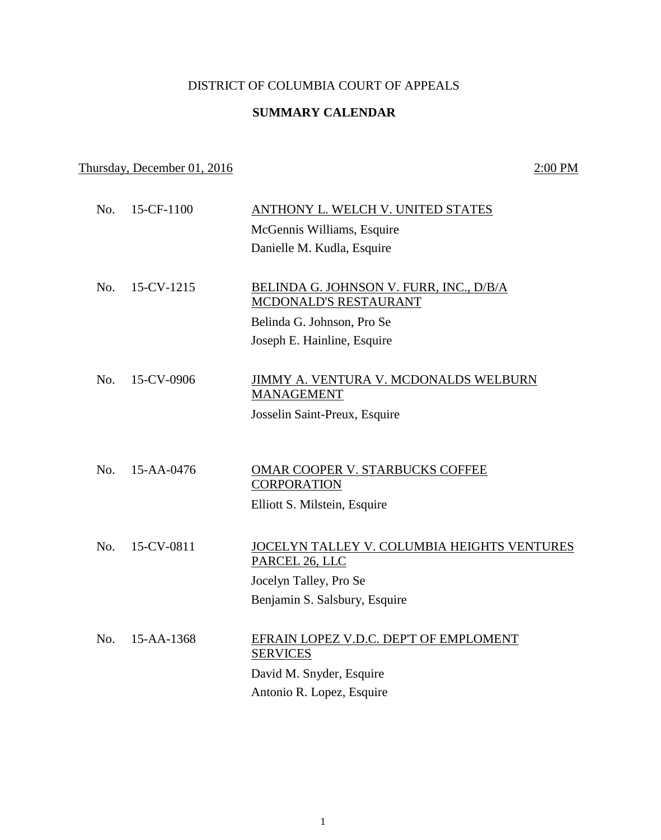# DISTRICT OF COLUMBIA COURT OF APPEALS

# **SUMMARY CALENDAR**

# Thursday, December 01, 2016 2:00 PM

| No. | 15-CF-1100       | ANTHONY L. WELCH V. UNITED STATES                             |
|-----|------------------|---------------------------------------------------------------|
|     |                  | McGennis Williams, Esquire                                    |
|     |                  | Danielle M. Kudla, Esquire                                    |
|     |                  |                                                               |
| No. | 15-CV-1215       | <b>BELINDA G. JOHNSON V. FURR, INC., D/B/A</b>                |
|     |                  | MCDONALD'S RESTAURANT                                         |
|     |                  | Belinda G. Johnson, Pro Se                                    |
|     |                  | Joseph E. Hainline, Esquire                                   |
|     |                  |                                                               |
| No. | 15-CV-0906       | JIMMY A. VENTURA V. MCDONALDS WELBURN                         |
|     |                  | <b>MANAGEMENT</b>                                             |
|     |                  | Josselin Saint-Preux, Esquire                                 |
|     |                  |                                                               |
| No. | $15 - AA - 0476$ |                                                               |
|     |                  | <b>OMAR COOPER V. STARBUCKS COFFEE</b><br><b>CORPORATION</b>  |
|     |                  | Elliott S. Milstein, Esquire                                  |
|     |                  |                                                               |
| No. | 15-CV-0811       |                                                               |
|     |                  | JOCELYN TALLEY V. COLUMBIA HEIGHTS VENTURES<br>PARCEL 26, LLC |
|     |                  | Jocelyn Talley, Pro Se                                        |
|     |                  | Benjamin S. Salsbury, Esquire                                 |
|     |                  |                                                               |
| No. | 15-AA-1368       | EFRAIN LOPEZ V.D.C. DEP'T OF EMPLOMENT                        |
|     |                  | <b>SERVICES</b>                                               |
|     |                  | David M. Snyder, Esquire                                      |
|     |                  | Antonio R. Lopez, Esquire                                     |
|     |                  |                                                               |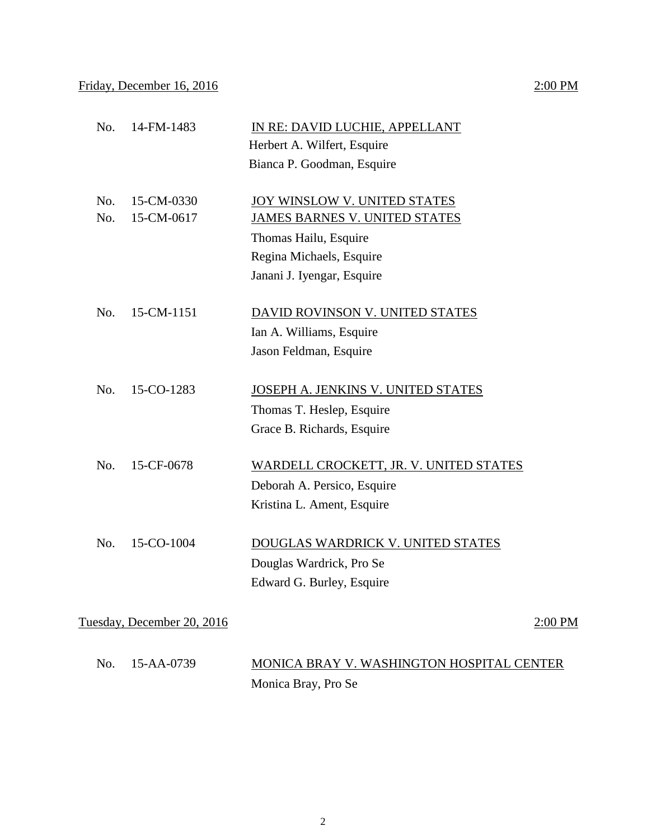### Friday, December 16, 2016 2:00 PM

# No. 14-FM-1483 IN RE: DAVID LUCHIE, APPELLANT Herbert A. Wilfert, Esquire Bianca P. Goodman, Esquire No. 15-CM-0330 JOY WINSLOW V. UNITED STATES No. 15-CM-0617 JAMES BARNES V. UNITED STATES Thomas Hailu, Esquire Regina Michaels, Esquire Janani J. Iyengar, Esquire No. 15-CM-1151 DAVID ROVINSON V. UNITED STATES Ian A. Williams, Esquire Jason Feldman, Esquire No. 15-CO-1283 JOSEPH A. JENKINS V. UNITED STATES Thomas T. Heslep, Esquire Grace B. Richards, Esquire No. 15-CF-0678 WARDELL CROCKETT, JR. V. UNITED STATES Deborah A. Persico, Esquire Kristina L. Ament, Esquire No. 15-CO-1004 DOUGLAS WARDRICK V. UNITED STATES Douglas Wardrick, Pro Se Edward G. Burley, Esquire Tuesday, December 20, 2016 2:00 PM No. 15-AA-0739 MONICA BRAY V. WASHINGTON HOSPITAL CENTER Monica Bray, Pro Se

2